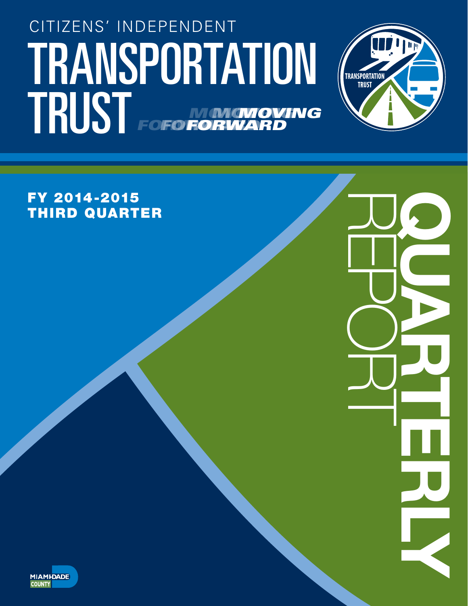# TRANSPORTATION (TRANSPORTATION CITIZENS' INDEPENDENT TRUST FOFO NONGNOVING *FORWARD MOVING* **FORWA** *MOVING* **FOFO FORV**



REPORT QUARTERLY

FY 2014-2015 THIRD QUARTER

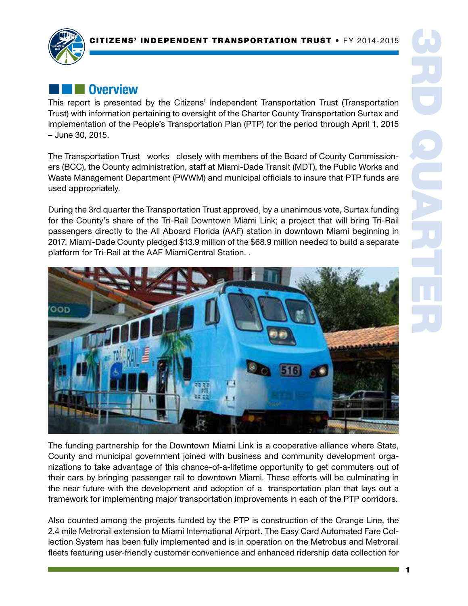

## **External Diverview**

This report is presented by the Citizens' Independent Transportation Trust (Transportation Trust) with information pertaining to oversight of the Charter County Transportation Surtax and implementation of the People's Transportation Plan (PTP) for the period through April 1, 2015 – June 30, 2015.

The Transportation Trust works closely with members of the Board of County Commissioners (BCC), the County administration, staff at Miami-Dade Transit (MDT), the Public Works and Waste Management Department (PWWM) and municipal officials to insure that PTP funds are used appropriately.

During the 3rd quarter the Transportation Trust approved, by a unanimous vote, Surtax funding for the County's share of the Tri-Rail Downtown Miami Link; a project that will bring Tri-Rail passengers directly to the All Aboard Florida (AAF) station in downtown Miami beginning in 2017. Miami-Dade County pledged \$13.9 million of the \$68.9 million needed to build a separate platform for Tri-Rail at the AAF MiamiCentral Station. .



The funding partnership for the Downtown Miami Link is a cooperative alliance where State, County and municipal government joined with business and community development organizations to take advantage of this chance-of-a-lifetime opportunity to get commuters out of their cars by bringing passenger rail to downtown Miami. These efforts will be culminating in the near future with the development and adoption of a transportation plan that lays out a framework for implementing major transportation improvements in each of the PTP corridors.

Also counted among the projects funded by the PTP is construction of the Orange Line, the 2.4 mile Metrorail extension to Miami International Airport. The Easy Card Automated Fare Collection System has been fully implemented and is in operation on the Metrobus and Metrorail fleets featuring user-friendly customer convenience and enhanced ridership data collection for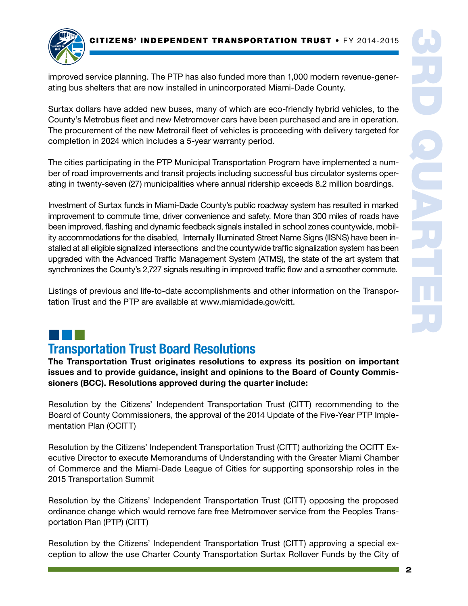

improved service planning. The PTP has also funded more than 1,000 modern revenue-generating bus shelters that are now installed in unincorporated Miami-Dade County.

Surtax dollars have added new buses, many of which are eco-friendly hybrid vehicles, to the County's Metrobus fleet and new Metromover cars have been purchased and are in operation. The procurement of the new Metrorail fleet of vehicles is proceeding with delivery targeted for completion in 2024 which includes a 5-year warranty period.

The cities participating in the PTP Municipal Transportation Program have implemented a number of road improvements and transit projects including successful bus circulator systems operating in twenty-seven (27) municipalities where annual ridership exceeds 8.2 million boardings.

Investment of Surtax funds in Miami-Dade County's public roadway system has resulted in marked improvement to commute time, driver convenience and safety. More than 300 miles of roads have been improved, flashing and dynamic feedback signals installed in school zones countywide, mobility accommodations for the disabled, Internally Illuminated Street Name Signs (IISNS) have been installed at all eligible signalized intersections and the countywide traffic signalization system has been upgraded with the Advanced Traffic Management System (ATMS), the state of the art system that synchronizes the County's 2,727 signals resulting in improved traffic flow and a smoother commute.

Listings of previous and life-to-date accomplishments and other information on the Transportation Trust and the PTP are available at www.miamidade.gov/citt.

# ¢¢¢

## Transportation Trust Board Resolutions

The Transportation Trust originates resolutions to express its position on important issues and to provide guidance, insight and opinions to the Board of County Commissioners (BCC). Resolutions approved during the quarter include:

Resolution by the Citizens' Independent Transportation Trust (CITT) recommending to the Board of County Commissioners, the approval of the 2014 Update of the Five-Year PTP Implementation Plan (OCITT)

Resolution by the Citizens' Independent Transportation Trust (CITT) authorizing the OCITT Executive Director to execute Memorandums of Understanding with the Greater Miami Chamber of Commerce and the Miami-Dade League of Cities for supporting sponsorship roles in the 2015 Transportation Summit

Resolution by the Citizens' Independent Transportation Trust (CITT) opposing the proposed ordinance change which would remove fare free Metromover service from the Peoples Transportation Plan (PTP) (CITT)

Resolution by the Citizens' Independent Transportation Trust (CITT) approving a special exception to allow the use Charter County Transportation Surtax Rollover Funds by the City of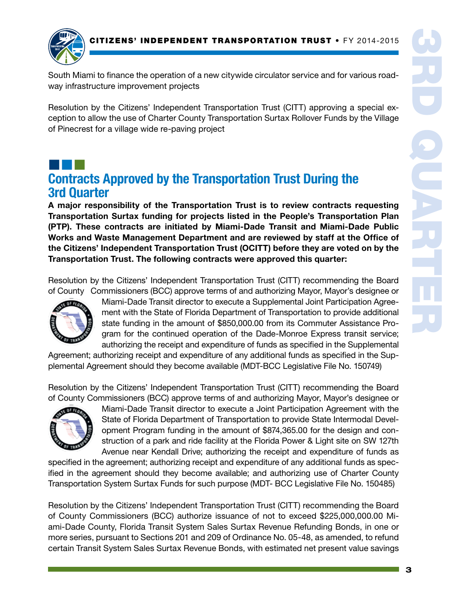CITIZENS' INDEPENDENT TRANSPORTATION TRUST • FY 2014-2015



South Miami to finance the operation of a new citywide circulator service and for various roadway infrastructure improvement projects

Resolution by the Citizens' Independent Transportation Trust (CITT) approving a special exception to allow the use of Charter County Transportation Surtax Rollover Funds by the Village of Pinecrest for a village wide re-paving project

## ¢¢¢ Contracts Approved by the Transportation Trust During the 3rd Quarter

A major responsibility of the Transportation Trust is to review contracts requesting Transportation Surtax funding for projects listed in the People's Transportation Plan (PTP). These contracts are initiated by Miami-Dade Transit and Miami-Dade Public Works and Waste Management Department and are reviewed by staff at the Office of the Citizens' Independent Transportation Trust (OCITT) before they are voted on by the Transportation Trust. The following contracts were approved this quarter:

Resolution by the Citizens' Independent Transportation Trust (CITT) recommending the Board of County Commissioners (BCC) approve terms of and authorizing Mayor, Mayor's designee or



Miami-Dade Transit director to execute a Supplemental Joint Participation Agreement with the State of Florida Department of Transportation to provide additional state funding in the amount of \$850,000.00 from its Commuter Assistance Program for the continued operation of the Dade-Monroe Express transit service; authorizing the receipt and expenditure of funds as specified in the Supplemental

Agreement; authorizing receipt and expenditure of any additional funds as specified in the Supplemental Agreement should they become available (MDT-BCC Legislative File No. 150749)

Resolution by the Citizens' Independent Transportation Trust (CITT) recommending the Board of County Commissioners (BCC) approve terms of and authorizing Mayor, Mayor's designee or



Miami-Dade Transit director to execute a Joint Participation Agreement with the State of Florida Department of Transportation to provide State Intermodal Development Program funding in the amount of \$874,365.00 for the design and construction of a park and ride facility at the Florida Power & Light site on SW 127th Avenue near Kendall Drive; authorizing the receipt and expenditure of funds as

specified in the agreement; authorizing receipt and expenditure of any additional funds as specified in the agreement should they become available; and authorizing use of Charter County Transportation System Surtax Funds for such purpose (MDT- BCC Legislative File No. 150485)

Resolution by the Citizens' Independent Transportation Trust (CITT) recommending the Board of County Commissioners (BCC) authorize issuance of not to exceed \$225,000,000.00 Miami-Dade County, Florida Transit System Sales Surtax Revenue Refunding Bonds, in one or more series, pursuant to Sections 201 and 209 of Ordinance No. 05-48, as amended, to refund certain Transit System Sales Surtax Revenue Bonds, with estimated net present value savings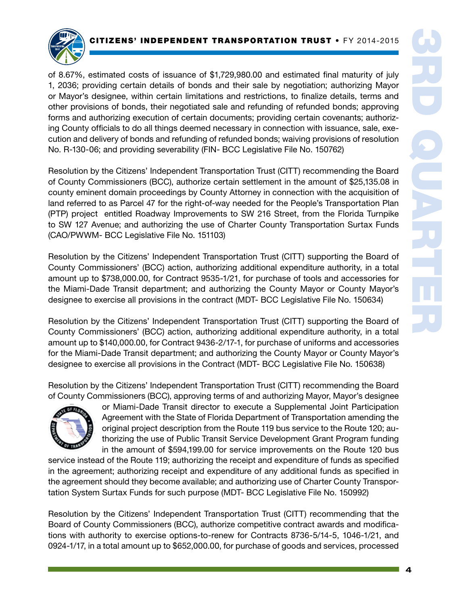

of 8.67%, estimated costs of issuance of \$1,729,980.00 and estimated final maturity of july 1, 2036; providing certain details of bonds and their sale by negotiation; authorizing Mayor or Mayor's designee, within certain limitations and restrictions, to finalize details, terms and other provisions of bonds, their negotiated sale and refunding of refunded bonds; approving forms and authorizing execution of certain documents; providing certain covenants; authorizing County officials to do all things deemed necessary in connection with issuance, sale, execution and delivery of bonds and refunding of refunded bonds; waiving provisions of resolution No. R-130-06; and providing severability (FIN- BCC Legislative File No. 150762)

Resolution by the Citizens' Independent Transportation Trust (CITT) recommending the Board of County Commissioners (BCC), authorize certain settlement in the amount of \$25,135.08 in county eminent domain proceedings by County Attorney in connection with the acquisition of land referred to as Parcel 47 for the right-of-way needed for the People's Transportation Plan (PTP) project entitled Roadway Improvements to SW 216 Street, from the Florida Turnpike to SW 127 Avenue; and authorizing the use of Charter County Transportation Surtax Funds (CAO/PWWM- BCC Legislative File No. 151103)

Resolution by the Citizens' Independent Transportation Trust (CITT) supporting the Board of County Commissioners' (BCC) action, authorizing additional expenditure authority, in a total amount up to \$738,000.00, for Contract 9535-1/21, for purchase of tools and accessories for the Miami-Dade Transit department; and authorizing the County Mayor or County Mayor's designee to exercise all provisions in the contract (MDT- BCC Legislative File No. 150634)

Resolution by the Citizens' Independent Transportation Trust (CITT) supporting the Board of County Commissioners' (BCC) action, authorizing additional expenditure authority, in a total amount up to \$140,000.00, for Contract 9436-2/17-1, for purchase of uniforms and accessories for the Miami-Dade Transit department; and authorizing the County Mayor or County Mayor's designee to exercise all provisions in the Contract (MDT- BCC Legislative File No. 150638)

Resolution by the Citizens' Independent Transportation Trust (CITT) recommending the Board of County Commissioners (BCC), approving terms of and authorizing Mayor, Mayor's designee



or Miami-Dade Transit director to execute a Supplemental Joint Participation Agreement with the State of Florida Department of Transportation amending the original project description from the Route 119 bus service to the Route 120; authorizing the use of Public Transit Service Development Grant Program funding in the amount of \$594,199.00 for service improvements on the Route 120 bus

service instead of the Route 119; authorizing the receipt and expenditure of funds as specified in the agreement; authorizing receipt and expenditure of any additional funds as specified in the agreement should they become available; and authorizing use of Charter County Transportation System Surtax Funds for such purpose (MDT- BCC Legislative File No. 150992)

Resolution by the Citizens' Independent Transportation Trust (CITT) recommending that the Board of County Commissioners (BCC), authorize competitive contract awards and modifications with authority to exercise options-to-renew for Contracts 8736-5/14-5, 1046-1/21, and 0924-1/17, in a total amount up to \$652,000.00, for purchase of goods and services, processed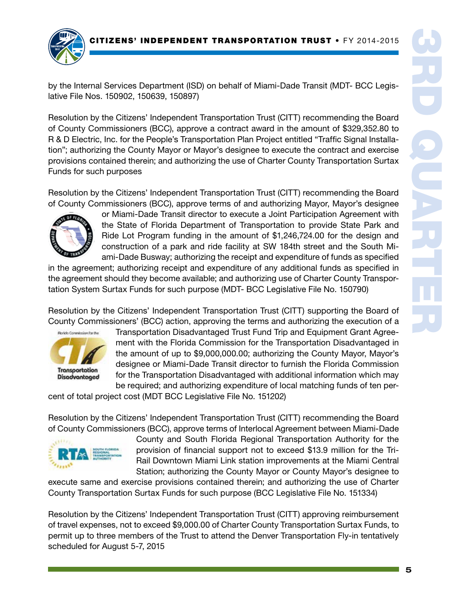

by the Internal Services Department (ISD) on behalf of Miami-Dade Transit (MDT- BCC Legislative File Nos. 150902, 150639, 150897)

Resolution by the Citizens' Independent Transportation Trust (CITT) recommending the Board of County Commissioners (BCC), approve a contract award in the amount of \$329,352.80 to R & D Electric, Inc. for the People's Transportation Plan Project entitled "Traffic Signal Installation"; authorizing the County Mayor or Mayor's designee to execute the contract and exercise provisions contained therein; and authorizing the use of Charter County Transportation Surtax Funds for such purposes

Resolution by the Citizens' Independent Transportation Trust (CITT) recommending the Board of County Commissioners (BCC), approve terms of and authorizing Mayor, Mayor's designee



or Miami-Dade Transit director to execute a Joint Participation Agreement with the State of Florida Department of Transportation to provide State Park and Ride Lot Program funding in the amount of \$1,246,724.00 for the design and construction of a park and ride facility at SW 184th street and the South Miami-Dade Busway; authorizing the receipt and expenditure of funds as specified

in the agreement; authorizing receipt and expenditure of any additional funds as specified in the agreement should they become available; and authorizing use of Charter County Transportation System Surtax Funds for such purpose (MDT- BCC Legislative File No. 150790)

Resolution by the Citizens' Independent Transportation Trust (CITT) supporting the Board of County Commissioners' (BCC) action, approving the terms and authorizing the execution of a



Transportation Disadvantaged Trust Fund Trip and Equipment Grant Agreement with the Florida Commission for the Transportation Disadvantaged in the amount of up to \$9,000,000.00; authorizing the County Mayor, Mayor's designee or Miami-Dade Transit director to furnish the Florida Commission for the Transportation Disadvantaged with additional information which may be required; and authorizing expenditure of local matching funds of ten per-

cent of total project cost (MDT BCC Legislative File No. 151202)

Resolution by the Citizens' Independent Transportation Trust (CITT) recommending the Board of County Commissioners (BCC), approve terms of Interlocal Agreement between Miami-Dade



County and South Florida Regional Transportation Authority for the provision of financial support not to exceed \$13.9 million for the Tri-Rail Downtown Miami Link station improvements at the Miami Central Station; authorizing the County Mayor or County Mayor's designee to

execute same and exercise provisions contained therein; and authorizing the use of Charter County Transportation Surtax Funds for such purpose (BCC Legislative File No. 151334)

Resolution by the Citizens' Independent Transportation Trust (CITT) approving reimbursement of travel expenses, not to exceed \$9,000.00 of Charter County Transportation Surtax Funds, to permit up to three members of the Trust to attend the Denver Transportation Fly-in tentatively scheduled for August 5-7, 2015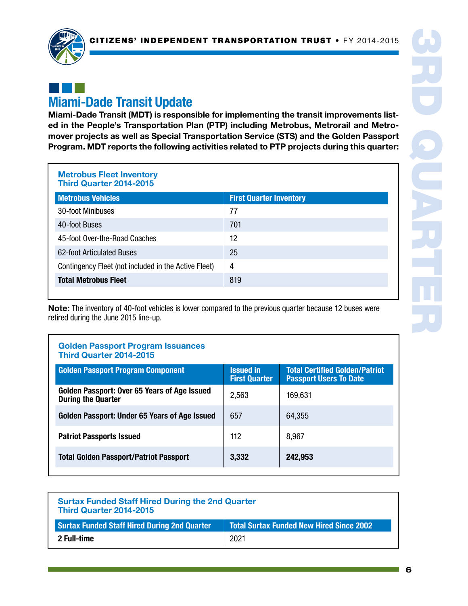

## ¢¢¢ Miami-Dade Transit Update

Miami-Dade Transit (MDT) is responsible for implementing the transit improvements listed in the People's Transportation Plan (PTP) including Metrobus, Metrorail and Metromover projects as well as Special Transportation Service (STS) and the Golden Passport Program. MDT reports the following activities related to PTP projects during this quarter:

#### Metrobus Fleet Inventory Third Quarter 2014-2015

| <b>Metrobus Vehicles</b>                             | <b>First Quarter Inventory</b> |
|------------------------------------------------------|--------------------------------|
| 30-foot Minibuses                                    | 77                             |
| 40-foot Buses                                        | 701                            |
| 45-foot Over-the-Road Coaches                        | 12                             |
| 62-foot Articulated Buses                            | 25                             |
| Contingency Fleet (not included in the Active Fleet) | 4                              |
| <b>Total Metrobus Fleet</b>                          | 819                            |

Note: The inventory of 40-foot vehicles is lower compared to the previous quarter because 12 buses were retired during the June 2015 line-up.

## Golden Passport Program Issuances Third Quarter 2014-2015 Golden Passport Program Component **Internative Constant** Issued in First Quarter Total Certified Golden/Patriot Passport Users To Date Golden Passport: Over 65 Years of Age Issued  $\left| \begin{array}{cc} 2{,}563 \end{array} \right|$  169,631 Golden Passport: Under 65 Years of Age Issued  $\begin{array}{|c|c|c|c|c|c|c|c|c|} \hline \end{array}$  64,355 Patriot Passports Issued 112 and 112 and 112 and 112 and 112 and 112 and 112 and 112 and 112 and 112 and 112 and 112 and 112 and 112 and 112 and 112 and 112 and 112 and 112 and 112 and 112 and 112 and 112 and 112 and 112 a Total Golden Passport/Patriot Passport | 3,332 | 242,953

| <b>Surtax Funded Staff Hired During the 2nd Quarter</b><br>Third Quarter 2014-2015 |                                                 |  |
|------------------------------------------------------------------------------------|-------------------------------------------------|--|
| <b>Surtax Funded Staff Hired During 2nd Quarter</b>                                | <b>Total Surtax Funded New Hired Since 2002</b> |  |
| 2 Full-time                                                                        | 2021                                            |  |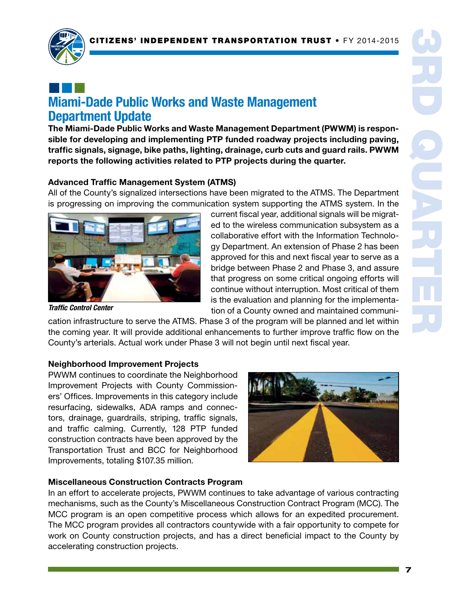

## ¢¢¢ Miami-Dade Public Works and Waste Management Department Update

The Miami-Dade Public Works and Waste Management Department (PWWM) is responsible for developing and implementing PTP funded roadway projects including paving, traffic signals, signage, bike paths, lighting, drainage, curb cuts and guard rails. PWWM reports the following activities related to PTP projects during the quarter.

### Advanced Traffic Management System (ATMS)

All of the County's signalized intersections have been migrated to the ATMS. The Department is progressing on improving the communication system supporting the ATMS system. In the



current fiscal year, additional signals will be migrated to the wireless communication subsystem as a collaborative effort with the Information Technology Department. An extension of Phase 2 has been approved for this and next fiscal year to serve as a bridge between Phase 2 and Phase 3, and assure that progress on some critical ongoing efforts will continue without interruption. Most critical of them is the evaluation and planning for the implementation of a County owned and maintained communi-

*Traffic Control Center*

cation infrastructure to serve the ATMS. Phase 3 of the program will be planned and let within the coming year. It will provide additional enhancements to further improve traffic flow on the County's arterials. Actual work under Phase 3 will not begin until next fiscal year.

#### Neighborhood Improvement Projects

PWWM continues to coordinate the Neighborhood Improvement Projects with County Commissioners' Offices. Improvements in this category include resurfacing, sidewalks, ADA ramps and connectors, drainage, guardrails, striping, traffic signals, and traffic calming. Currently, 128 PTP funded construction contracts have been approved by the Transportation Trust and BCC for Neighborhood Improvements, totaling \$107.35 million.



#### Miscellaneous Construction Contracts Program

In an effort to accelerate projects, PWWM continues to take advantage of various contracting mechanisms, such as the County's Miscellaneous Construction Contract Program (MCC). The MCC program is an open competitive process which allows for an expedited procurement. The MCC program provides all contractors countywide with a fair opportunity to compete for work on County construction projects, and has a direct beneficial impact to the County by accelerating construction projects.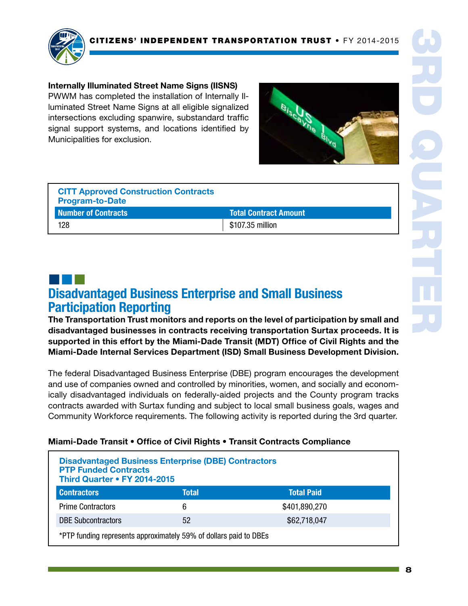

#### Internally Illuminated Street Name Signs (IISNS)

PWWM has completed the installation of Internally Illuminated Street Name Signs at all eligible signalized intersections excluding spanwire, substandard traffic signal support systems, and locations identified by Municipalities for exclusion.



| <b>CITT Approved Construction Contracts</b><br><b>Program-to-Date</b> |                              |
|-----------------------------------------------------------------------|------------------------------|
| <b>Number of Contracts</b>                                            | <b>Total Contract Amount</b> |
| 128                                                                   | \$107.35 million             |

## ¢¢¢ Disadvantaged Business Enterprise and Small Business Participation Reporting

The Transportation Trust monitors and reports on the level of participation by small and disadvantaged businesses in contracts receiving transportation Surtax proceeds. It is supported in this effort by the Miami-Dade Transit (MDT) Office of Civil Rights and the Miami-Dade Internal Services Department (ISD) Small Business Development Division.

The federal Disadvantaged Business Enterprise (DBE) program encourages the development and use of companies owned and controlled by minorities, women, and socially and economically disadvantaged individuals on federally-aided projects and the County program tracks contracts awarded with Surtax funding and subject to local small business goals, wages and Community Workforce requirements. The following activity is reported during the 3rd quarter.

| Miami-Dade Transit • Office of Civil Rights • Transit Contracts Compliance |
|----------------------------------------------------------------------------|
|                                                                            |

| <b>Disadvantaged Business Enterprise (DBE) Contractors</b><br><b>PTP Funded Contracts</b><br>Third Quarter • FY 2014-2015 |       |                   |  |
|---------------------------------------------------------------------------------------------------------------------------|-------|-------------------|--|
| <b>Contractors</b>                                                                                                        | Total | <b>Total Paid</b> |  |
| <b>Prime Contractors</b>                                                                                                  | 6     | \$401,890,270     |  |
| <b>DBE Subcontractors</b>                                                                                                 | 52    | \$62,718,047      |  |
| *PTP funding represents approximately 59% of dollars paid to DBEs                                                         |       |                   |  |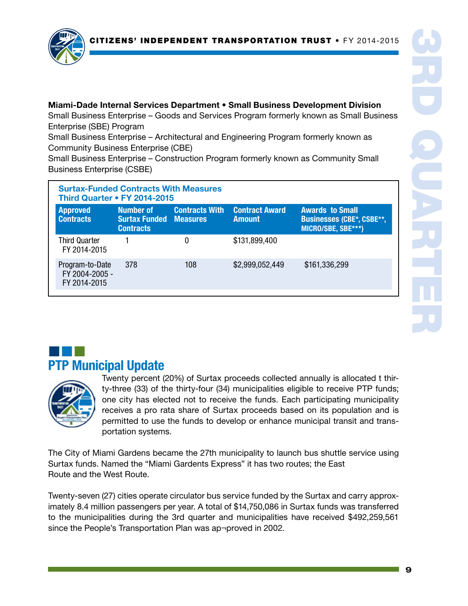

Miami-Dade Internal Services Department • Small Business Development Division Small Business Enterprise – Goods and Services Program formerly known as Small Business Enterprise (SBE) Program

Small Business Enterprise – Architectural and Engineering Program formerly known as Community Business Enterprise (CBE)

Small Business Enterprise – Construction Program formerly known as Community Small Business Enterprise (CSBE)

| <b>Surtax-Funded Contracts With Measures</b><br><b>Third Quarter • FY 2014-2015</b> |                                                                |                       |                                        |                                                                                  |  |
|-------------------------------------------------------------------------------------|----------------------------------------------------------------|-----------------------|----------------------------------------|----------------------------------------------------------------------------------|--|
| <b>Approved</b><br><b>Contracts</b>                                                 | Number of<br><b>Surtax Funded Measures</b><br><b>Contracts</b> | <b>Contracts With</b> | <b>Contract Award</b><br><b>Amount</b> | <b>Awards to Small</b><br><b>Businesses (CBE*, CSBE**,</b><br>MICRO/SBE, SBE***) |  |
| <b>Third Quarter</b><br>FY 2014-2015                                                |                                                                |                       | \$131,899,400                          |                                                                                  |  |
| Program-to-Date<br>FY 2004-2005 -<br>FY 2014-2015                                   | 378                                                            | 108                   | \$2,999,052,449                        | \$161,336,299                                                                    |  |

## ¢¢¢ PTP Municipal Update



Twenty percent (20%) of Surtax proceeds collected annually is allocated t thirty-three (33) of the thirty-four (34) municipalities eligible to receive PTP funds; one city has elected not to receive the funds. Each participating municipality receives a pro rata share of Surtax proceeds based on its population and is permitted to use the funds to develop or enhance municipal transit and transportation systems.

The City of Miami Gardens became the 27th municipality to launch bus shuttle service using Surtax funds. Named the "Miami Gardents Express" it has two routes; the East Route and the West Route.

Twenty-seven (27) cities operate circulator bus service funded by the Surtax and carry approximately 8.4 million passengers per year. A total of \$14,750,086 in Surtax funds was transferred to the municipalities during the 3rd quarter and municipalities have received \$492,259,561 since the People's Transportation Plan was ap¬proved in 2002.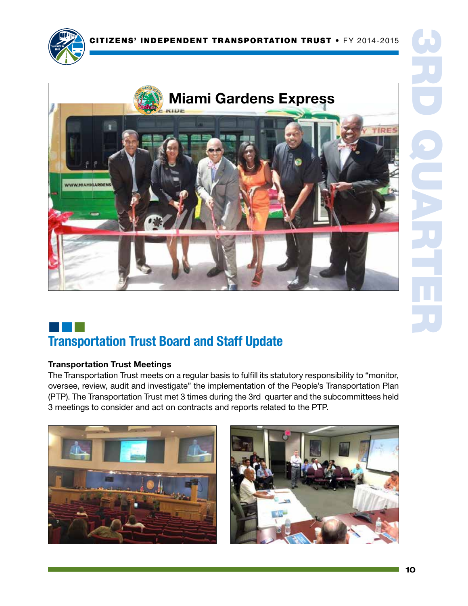



## ¢¢¢ Transportation Trust Board and Staff Update

### Transportation Trust Meetings

The Transportation Trust meets on a regular basis to fulfill its statutory responsibility to "monitor, oversee, review, audit and investigate" the implementation of the People's Transportation Plan (PTP). The Transportation Trust met 3 times during the 3rd quarter and the subcommittees held 3 meetings to consider and act on contracts and reports related to the PTP.

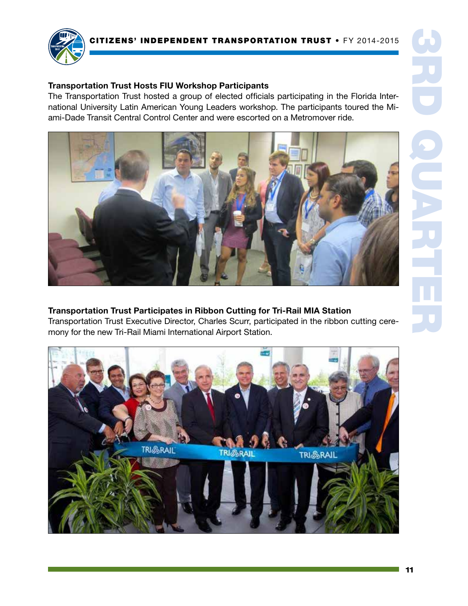

### Transportation Trust Hosts FIU Workshop Participants

The Transportation Trust hosted a group of elected officials participating in the Florida International University Latin American Young Leaders workshop. The participants toured the Miami-Dade Transit Central Control Center and were escorted on a Metromover ride.



Transportation Trust Participates in Ribbon Cutting for Tri-Rail MIA Station Transportation Trust Executive Director, Charles Scurr, participated in the ribbon cutting ceremony for the new Tri-Rail Miami International Airport Station.

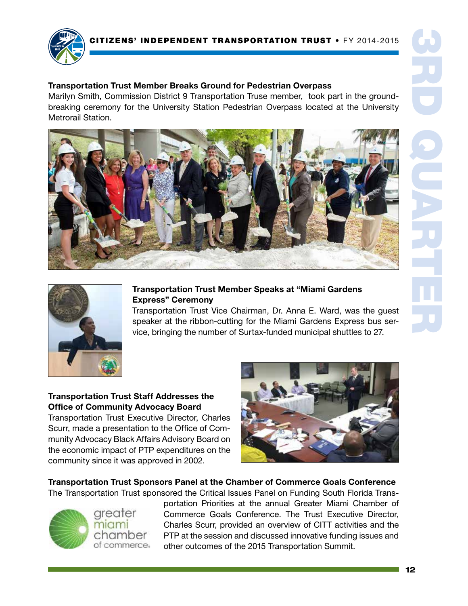

#### Transportation Trust Member Breaks Ground for Pedestrian Overpass

Marilyn Smith, Commission District 9 Transportation Truse member, took part in the groundbreaking ceremony for the University Station Pedestrian Overpass located at the University Metrorail Station.





### Transportation Trust Member Speaks at "Miami Gardens Express" Ceremony

Transportation Trust Vice Chairman, Dr. Anna E. Ward, was the guest speaker at the ribbon-cutting for the Miami Gardens Express bus service, bringing the number of Surtax-funded municipal shuttles to 27.

12

### Transportation Trust Staff Addresses the Office of Community Advocacy Board

Transportation Trust Executive Director, Charles Scurr, made a presentation to the Office of Community Advocacy Black Affairs Advisory Board on the economic impact of PTP expenditures on the community since it was approved in 2002.



Transportation Trust Sponsors Panel at the Chamber of Commerce Goals Conference The Transportation Trust sponsored the Critical Issues Panel on Funding South Florida Trans-

greater miami chamber of commerce. portation Priorities at the annual Greater Miami Chamber of Commerce Goals Conference. The Trust Executive Director, Charles Scurr, provided an overview of CITT activities and the PTP at the session and discussed innovative funding issues and other outcomes of the 2015 Transportation Summit.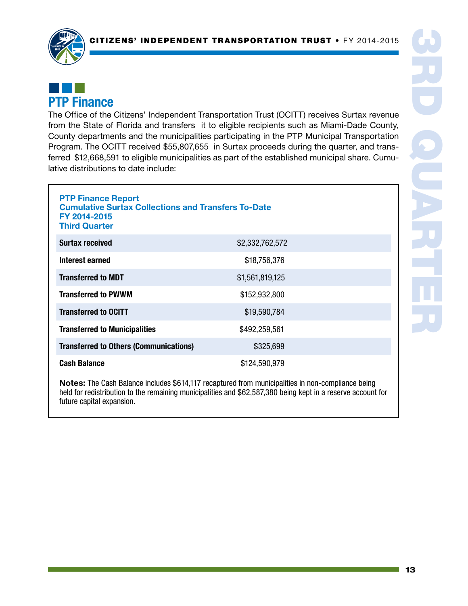

## ¢¢¢ PTP Finance

The Office of the Citizens' Independent Transportation Trust (OCITT) receives Surtax revenue from the State of Florida and transfers it to eligible recipients such as Miami-Dade County, County departments and the municipalities participating in the PTP Municipal Transportation Program. The OCITT received \$55,807,655 in Surtax proceeds during the quarter, and transferred \$12,668,591 to eligible municipalities as part of the established municipal share. Cumulative distributions to date include:

| <b>PTP Finance Report</b><br><b>Cumulative Surtax Collections and Transfers To-Date</b><br>FY 2014-2015<br><b>Third Quarter</b> |                 |  |  |
|---------------------------------------------------------------------------------------------------------------------------------|-----------------|--|--|
| <b>Surtax received</b>                                                                                                          | \$2,332,762,572 |  |  |
| Interest earned                                                                                                                 | \$18,756,376    |  |  |
| <b>Transferred to MDT</b>                                                                                                       | \$1,561,819,125 |  |  |
| <b>Transferred to PWWM</b>                                                                                                      | \$152,932,800   |  |  |
| <b>Transferred to OCITT</b>                                                                                                     | \$19,590,784    |  |  |
| <b>Transferred to Municipalities</b>                                                                                            | \$492,259,561   |  |  |
| <b>Transferred to Others (Communications)</b>                                                                                   | \$325,699       |  |  |
| <b>Cash Balance</b><br>\$124,590,979                                                                                            |                 |  |  |

Notes: The Cash Balance includes \$614,117 recaptured from municipalities in non-compliance being held for redistribution to the remaining municipalities and \$62,587,380 being kept in a reserve account for future capital expansion.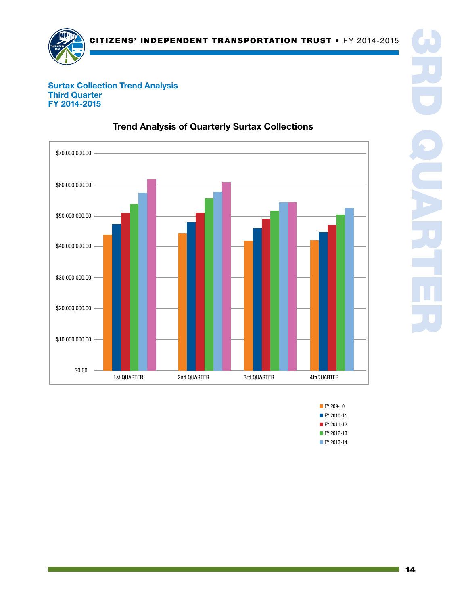

#### Surtax Collection Trend Analysis Third Quarter FY 2014-2015



## Trend Analysis of Quarterly Surtax Collections

■ FY 2010-11 **FY 209-10** ■ FY 2011-12 ■ FY 2012-13 ■ FY 2013-14